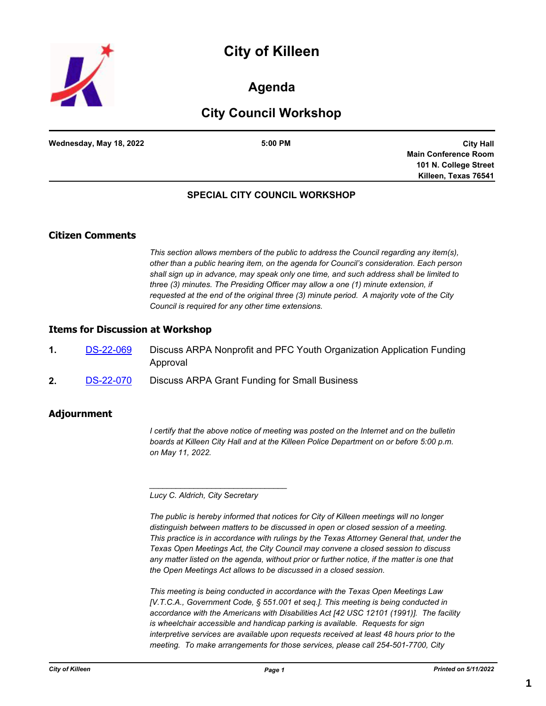



## **Agenda**

## **City Council Workshop**

| Wednesday, May 18, 2022 | 5:00 PM |
|-------------------------|---------|
|                         |         |

**City Hall Main Conference Room 101 N. College Street Killeen, Texas 76541**

### **SPECIAL CITY COUNCIL WORKSHOP**

### **Citizen Comments**

*This section allows members of the public to address the Council regarding any item(s), other than a public hearing item, on the agenda for Council's consideration. Each person shall sign up in advance, may speak only one time, and such address shall be limited to three (3) minutes. The Presiding Officer may allow a one (1) minute extension, if requested at the end of the original three (3) minute period. A majority vote of the City Council is required for any other time extensions.*

#### **Items for Discussion at Workshop**

- **1.** [DS-22-069](http://killeen.legistar.com/gateway.aspx?m=l&id=/matter.aspx?key=6147) Discuss ARPA Nonprofit and PFC Youth Organization Application Funding Approval
- **2.** [DS-22-070](http://killeen.legistar.com/gateway.aspx?m=l&id=/matter.aspx?key=6146) Discuss ARPA Grant Funding for Small Business

#### **Adjournment**

*I certify that the above notice of meeting was posted on the Internet and on the bulletin boards at Killeen City Hall and at the Killeen Police Department on or before 5:00 p.m. on May 11, 2022.*

*Lucy C. Aldrich, City Secretary* 

*\_\_\_\_\_\_\_\_\_\_\_\_\_\_\_\_\_\_\_\_\_\_\_\_\_\_\_\_\_\_\_*

*The public is hereby informed that notices for City of Killeen meetings will no longer distinguish between matters to be discussed in open or closed session of a meeting. This practice is in accordance with rulings by the Texas Attorney General that, under the Texas Open Meetings Act, the City Council may convene a closed session to discuss any matter listed on the agenda, without prior or further notice, if the matter is one that the Open Meetings Act allows to be discussed in a closed session.*

*This meeting is being conducted in accordance with the Texas Open Meetings Law [V.T.C.A., Government Code, § 551.001 et seq.]. This meeting is being conducted in accordance with the Americans with Disabilities Act [42 USC 12101 (1991)]. The facility is wheelchair accessible and handicap parking is available. Requests for sign interpretive services are available upon requests received at least 48 hours prior to the meeting. To make arrangements for those services, please call 254-501-7700, City*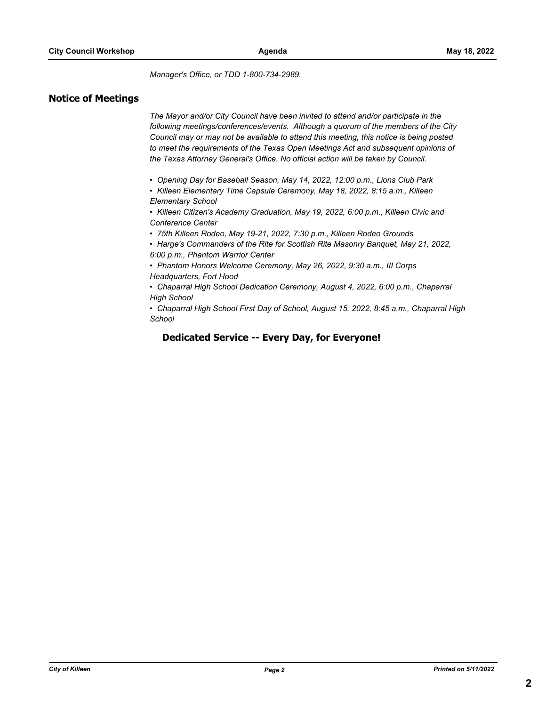*Manager's Office, or TDD 1-800-734-2989.*

#### **Notice of Meetings**

*The Mayor and/or City Council have been invited to attend and/or participate in the following meetings/conferences/events. Although a quorum of the members of the City Council may or may not be available to attend this meeting, this notice is being posted to meet the requirements of the Texas Open Meetings Act and subsequent opinions of the Texas Attorney General's Office. No official action will be taken by Council.*

*• Opening Day for Baseball Season, May 14, 2022, 12:00 p.m., Lions Club Park*

*• Killeen Elementary Time Capsule Ceremony, May 18, 2022, 8:15 a.m., Killeen Elementary School*

*• Killeen Citizen's Academy Graduation, May 19, 2022, 6:00 p.m., Killeen Civic and Conference Center*

*• 75th Killeen Rodeo, May 19-21, 2022, 7:30 p.m., Killeen Rodeo Grounds*

*• Harge's Commanders of the Rite for Scottish Rite Masonry Banquet, May 21, 2022, 6:00 p.m., Phantom Warrior Center*

*• Phantom Honors Welcome Ceremony, May 26, 2022, 9:30 a.m., III Corps Headquarters, Fort Hood*

*• Chaparral High School Dedication Ceremony, August 4, 2022, 6:00 p.m., Chaparral High School*

*• Chaparral High School First Day of School, August 15, 2022, 8:45 a.m., Chaparral High School*

#### **Dedicated Service -- Every Day, for Everyone!**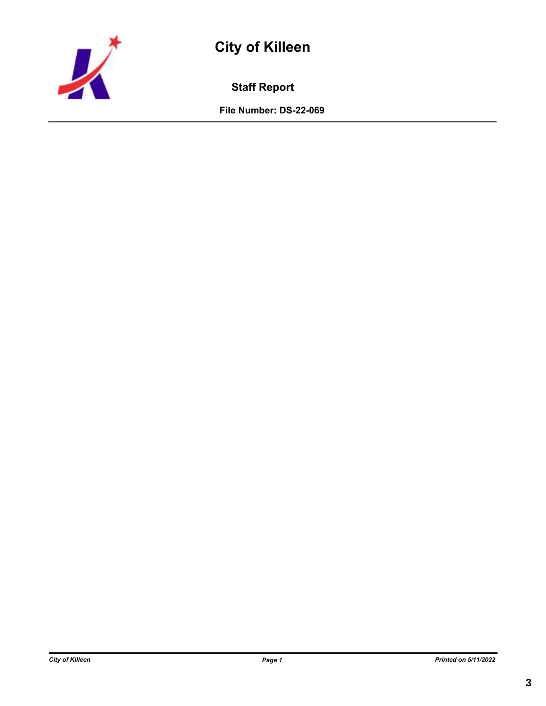

# **City of Killeen**

**Staff Report**

**File Number: DS-22-069**